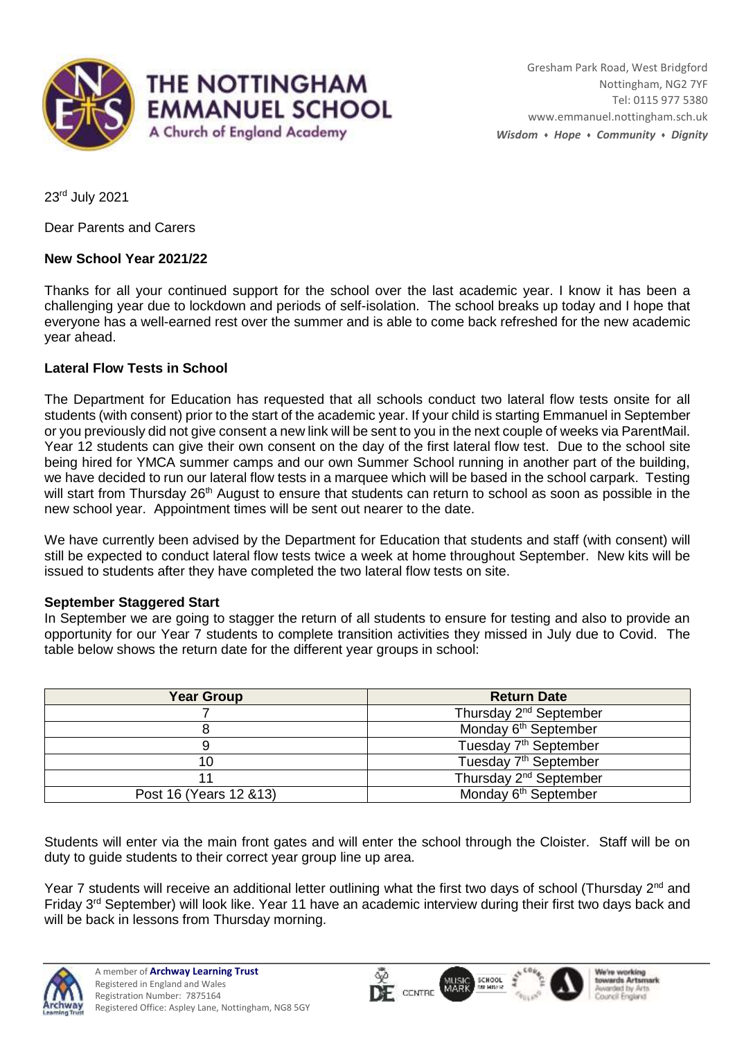

23rd July 2021

Dear Parents and Carers

### **New School Year 2021/22**

Thanks for all your continued support for the school over the last academic year. I know it has been a challenging year due to lockdown and periods of self-isolation. The school breaks up today and I hope that everyone has a well-earned rest over the summer and is able to come back refreshed for the new academic year ahead.

### **Lateral Flow Tests in School**

The Department for Education has requested that all schools conduct two lateral flow tests onsite for all students (with consent) prior to the start of the academic year. If your child is starting Emmanuel in September or you previously did not give consent a new link will be sent to you in the next couple of weeks via ParentMail. Year 12 students can give their own consent on the day of the first lateral flow test. Due to the school site being hired for YMCA summer camps and our own Summer School running in another part of the building, we have decided to run our lateral flow tests in a marquee which will be based in the school carpark. Testing will start from Thursday 26<sup>th</sup> August to ensure that students can return to school as soon as possible in the new school year. Appointment times will be sent out nearer to the date.

We have currently been advised by the Department for Education that students and staff (with consent) will still be expected to conduct lateral flow tests twice a week at home throughout September. New kits will be issued to students after they have completed the two lateral flow tests on site.

### **September Staggered Start**

In September we are going to stagger the return of all students to ensure for testing and also to provide an opportunity for our Year 7 students to complete transition activities they missed in July due to Covid. The table below shows the return date for the different year groups in school:

| <b>Year Group</b>       | <b>Return Date</b>                 |
|-------------------------|------------------------------------|
|                         | Thursday 2 <sup>nd</sup> September |
|                         | Monday 6 <sup>th</sup> September   |
|                         | Tuesday 7 <sup>th</sup> September  |
| 10                      | Tuesday 7 <sup>th</sup> September  |
|                         | Thursday 2 <sup>nd</sup> September |
| Post 16 (Years 12 & 13) | Monday 6 <sup>th</sup> September   |

Students will enter via the main front gates and will enter the school through the Cloister. Staff will be on duty to guide students to their correct year group line up area.

Year 7 students will receive an additional letter outlining what the first two days of school (Thursday 2<sup>nd</sup> and Friday 3rd September) will look like. Year 11 have an academic interview during their first two days back and will be back in lessons from Thursday morning.

**DF** CENTRE MARI

SCHOOL<br>MEMBER

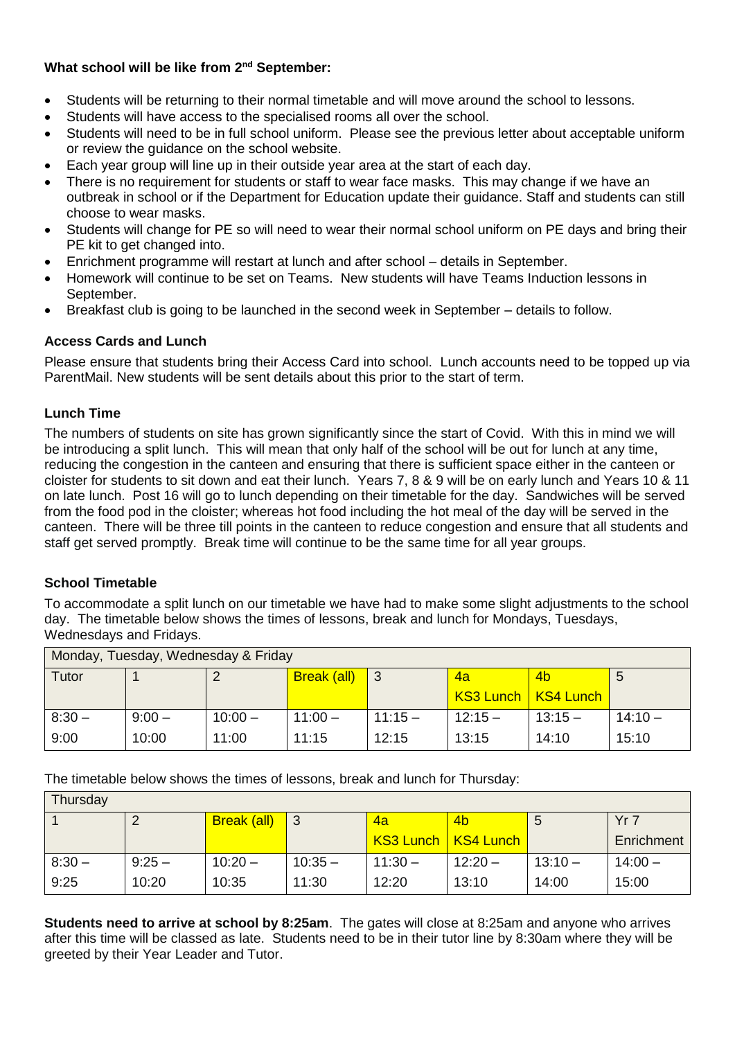### **What school will be like from 2nd September:**

- Students will be returning to their normal timetable and will move around the school to lessons.
- Students will have access to the specialised rooms all over the school.
- Students will need to be in full school uniform. Please see the previous letter about acceptable uniform or review the guidance on the school website.
- Each year group will line up in their outside year area at the start of each day.
- There is no requirement for students or staff to wear face masks. This may change if we have an outbreak in school or if the Department for Education update their guidance. Staff and students can still choose to wear masks.
- Students will change for PE so will need to wear their normal school uniform on PE days and bring their PE kit to get changed into.
- Enrichment programme will restart at lunch and after school details in September.
- Homework will continue to be set on Teams. New students will have Teams Induction lessons in September.
- Breakfast club is going to be launched in the second week in September details to follow.

# **Access Cards and Lunch**

Please ensure that students bring their Access Card into school. Lunch accounts need to be topped up via ParentMail. New students will be sent details about this prior to the start of term.

### **Lunch Time**

The numbers of students on site has grown significantly since the start of Covid. With this in mind we will be introducing a split lunch. This will mean that only half of the school will be out for lunch at any time, reducing the congestion in the canteen and ensuring that there is sufficient space either in the canteen or cloister for students to sit down and eat their lunch. Years 7, 8 & 9 will be on early lunch and Years 10 & 11 on late lunch. Post 16 will go to lunch depending on their timetable for the day. Sandwiches will be served from the food pod in the cloister; whereas hot food including the hot meal of the day will be served in the canteen. There will be three till points in the canteen to reduce congestion and ensure that all students and staff get served promptly. Break time will continue to be the same time for all year groups.

# **School Timetable**

To accommodate a split lunch on our timetable we have had to make some slight adjustments to the school day. The timetable below shows the times of lessons, break and lunch for Mondays, Tuesdays, Wednesdays and Fridays.

| Monday, Tuesday, Wednesday & Friday |          |           |             |           |          |                       |           |  |  |
|-------------------------------------|----------|-----------|-------------|-----------|----------|-----------------------|-----------|--|--|
| Tutor                               |          |           | Break (all) | -3        | 4a       | 4 <sub>b</sub>        |           |  |  |
|                                     |          |           |             |           |          | KS3 Lunch   KS4 Lunch |           |  |  |
| $8:30 -$                            | $9:00 -$ | $10:00 -$ | $11:00 -$   | $11:15 -$ | $12:15-$ | $13:15 -$             | $14:10 -$ |  |  |
| 9:00                                | 10:00    | 11:00     | 11:15       | 12:15     | 13:15    | 14:10                 | 15:10     |  |  |

The timetable below shows the times of lessons, break and lunch for Thursday:

| Thursday |          |                    |           |           |                       |           |            |  |  |
|----------|----------|--------------------|-----------|-----------|-----------------------|-----------|------------|--|--|
|          | 2        | <b>Break (all)</b> | ∣3        | <u>Aa</u> | 4 <sub>b</sub>        | 5         | Yr 7       |  |  |
|          |          |                    |           |           | KS3 Lunch   KS4 Lunch |           | Enrichment |  |  |
| $8:30 -$ | $9:25 -$ | $10:20 -$          | $10:35 -$ | $11:30 -$ | $12:20 -$             | $13:10 -$ | $14:00 -$  |  |  |
| 9:25     | 10:20    | 10:35              | 11:30     | 12:20     | 13:10                 | 14:00     | 15:00      |  |  |

**Students need to arrive at school by 8:25am**. The gates will close at 8:25am and anyone who arrives after this time will be classed as late. Students need to be in their tutor line by 8:30am where they will be greeted by their Year Leader and Tutor.